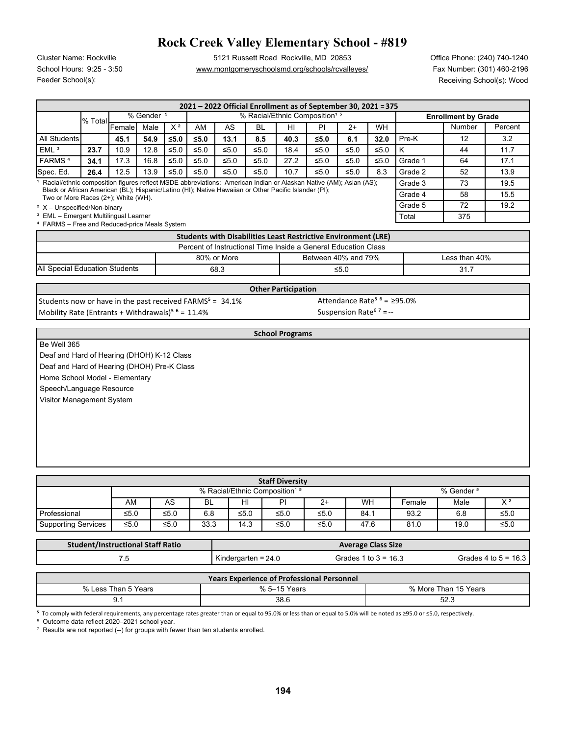## **Rock Creek Valley Elementary School - #819**

Cluster Name: Rockville 5121 Russett Road Rockville, MD 20853 Office Phone: (240) 740-1240 School Hours: 9:25 - 3:50 www.montgomeryschoolsmd.org/schools/rcvalleyes/ Fax Number: (301) 460-2196

Feeder School(s): Receiving School(s): Wood

| 2021 - 2022 Official Enrollment as of September 30, 2021 = 375                                                                                                                                                              |                                                                                                                                                                       |        |                                                                    |                |           |                                           |           |                                                                       |                       |                     |           |                            |                       |         |  |
|-----------------------------------------------------------------------------------------------------------------------------------------------------------------------------------------------------------------------------|-----------------------------------------------------------------------------------------------------------------------------------------------------------------------|--------|--------------------------------------------------------------------|----------------|-----------|-------------------------------------------|-----------|-----------------------------------------------------------------------|-----------------------|---------------------|-----------|----------------------------|-----------------------|---------|--|
|                                                                                                                                                                                                                             | % Total                                                                                                                                                               |        | % Racial/Ethnic Composition <sup>15</sup><br>% Gender <sup>5</sup> |                |           |                                           |           |                                                                       |                       |                     |           | <b>Enrollment by Grade</b> |                       |         |  |
|                                                                                                                                                                                                                             |                                                                                                                                                                       | Female | Male                                                               | X <sup>2</sup> | AM        | AS                                        | <b>BL</b> | HI                                                                    | PI                    | $2+$                | <b>WH</b> |                            | Number                | Percent |  |
| <b>All Students</b>                                                                                                                                                                                                         |                                                                                                                                                                       | 45.1   | 54.9                                                               | $≤5.0$         | ≤5.0      | 13.1                                      | 8.5       | 40.3                                                                  | ≤5.0                  | 6.1                 | 32.0      | Pre-K                      | 12                    | 3.2     |  |
| EML <sup>3</sup>                                                                                                                                                                                                            | 23.7                                                                                                                                                                  | 10.9   | 12.8                                                               | $≤5.0$         | $≤5.0$    | ≤5.0                                      | $≤5.0$    | 18.4                                                                  | $≤5.0$                | ≤5.0                | $≤5.0$    | Κ                          | 44                    | 11.7    |  |
| FARMS <sup>4</sup>                                                                                                                                                                                                          | 34.1                                                                                                                                                                  | 17.3   | 16.8                                                               | ≤5.0           | ≤5.0      | $≤5.0$                                    | $≤5.0$    | 27.2                                                                  | $≤5.0$                | $≤5.0$              | ≤5.0      | Grade 1                    | 64                    | 17.1    |  |
| Spec. Ed.                                                                                                                                                                                                                   | 26.4                                                                                                                                                                  | 12.5   | 13.9                                                               | $≤5.0$         | $≤5.0$    | ≤5.0                                      | ≤5.0      | 10.7                                                                  | $≤5.0$                | $≤5.0$              | 8.3       | Grade 2                    | 52                    | 13.9    |  |
| Racial/ethnic composition figures reflect MSDE abbreviations: American Indian or Alaskan Native (AM); Asian (AS);                                                                                                           |                                                                                                                                                                       |        |                                                                    |                |           |                                           |           |                                                                       | 73<br>19.5<br>Grade 3 |                     |           |                            |                       |         |  |
|                                                                                                                                                                                                                             | Black or African American (BL); Hispanic/Latino (HI); Native Hawaiian or Other Pacific Islander (PI);<br>Grade 4<br>58<br>15.5<br>Two or More Races (2+); White (WH). |        |                                                                    |                |           |                                           |           |                                                                       |                       |                     |           |                            |                       |         |  |
| <sup>2</sup> X - Unspecified/Non-binary                                                                                                                                                                                     |                                                                                                                                                                       |        |                                                                    |                |           |                                           |           |                                                                       |                       |                     |           | Grade 5                    | 72                    | 19.2    |  |
| <sup>3</sup> EML - Emergent Multilingual Learner                                                                                                                                                                            |                                                                                                                                                                       |        |                                                                    |                |           |                                           |           |                                                                       |                       |                     |           | Total                      | 375                   |         |  |
| <sup>4</sup> FARMS - Free and Reduced-price Meals System                                                                                                                                                                    |                                                                                                                                                                       |        |                                                                    |                |           |                                           |           |                                                                       |                       |                     |           |                            |                       |         |  |
|                                                                                                                                                                                                                             |                                                                                                                                                                       |        |                                                                    |                |           |                                           |           | <b>Students with Disabilities Least Restrictive Environment (LRE)</b> |                       |                     |           |                            |                       |         |  |
|                                                                                                                                                                                                                             |                                                                                                                                                                       |        |                                                                    |                |           |                                           |           | Percent of Instructional Time Inside a General Education Class        |                       |                     |           |                            |                       |         |  |
|                                                                                                                                                                                                                             |                                                                                                                                                                       |        |                                                                    |                |           | 80% or More                               |           |                                                                       |                       | Between 40% and 79% |           |                            | Less than 40%         |         |  |
| All Special Education Students                                                                                                                                                                                              |                                                                                                                                                                       |        |                                                                    |                |           | 68.3                                      |           |                                                                       |                       | $≤5.0$              |           |                            | 31.7                  |         |  |
|                                                                                                                                                                                                                             |                                                                                                                                                                       |        |                                                                    |                |           |                                           |           |                                                                       |                       |                     |           |                            |                       |         |  |
| <b>Other Participation</b>                                                                                                                                                                                                  |                                                                                                                                                                       |        |                                                                    |                |           |                                           |           |                                                                       |                       |                     |           |                            |                       |         |  |
| Attendance Rate <sup>5 6</sup> = $\geq$ 95.0%<br>Students now or have in the past received FARMS <sup>5</sup> = 34.1%<br>Suspension Rate <sup>67</sup> = --<br>Mobility Rate (Entrants + Withdrawals) <sup>56</sup> = 11.4% |                                                                                                                                                                       |        |                                                                    |                |           |                                           |           |                                                                       |                       |                     |           |                            |                       |         |  |
|                                                                                                                                                                                                                             |                                                                                                                                                                       |        |                                                                    |                |           |                                           |           |                                                                       |                       |                     |           |                            |                       |         |  |
|                                                                                                                                                                                                                             |                                                                                                                                                                       |        |                                                                    |                |           |                                           |           | <b>School Programs</b>                                                |                       |                     |           |                            |                       |         |  |
| Be Well 365                                                                                                                                                                                                                 |                                                                                                                                                                       |        |                                                                    |                |           |                                           |           |                                                                       |                       |                     |           |                            |                       |         |  |
| Deaf and Hard of Hearing (DHOH) K-12 Class                                                                                                                                                                                  |                                                                                                                                                                       |        |                                                                    |                |           |                                           |           |                                                                       |                       |                     |           |                            |                       |         |  |
| Deaf and Hard of Hearing (DHOH) Pre-K Class                                                                                                                                                                                 |                                                                                                                                                                       |        |                                                                    |                |           |                                           |           |                                                                       |                       |                     |           |                            |                       |         |  |
| Home School Model - Elementary                                                                                                                                                                                              |                                                                                                                                                                       |        |                                                                    |                |           |                                           |           |                                                                       |                       |                     |           |                            |                       |         |  |
|                                                                                                                                                                                                                             |                                                                                                                                                                       |        |                                                                    |                |           |                                           |           |                                                                       |                       |                     |           |                            |                       |         |  |
|                                                                                                                                                                                                                             | Speech/Language Resource                                                                                                                                              |        |                                                                    |                |           |                                           |           |                                                                       |                       |                     |           |                            |                       |         |  |
| Visitor Management System                                                                                                                                                                                                   |                                                                                                                                                                       |        |                                                                    |                |           |                                           |           |                                                                       |                       |                     |           |                            |                       |         |  |
|                                                                                                                                                                                                                             |                                                                                                                                                                       |        |                                                                    |                |           |                                           |           |                                                                       |                       |                     |           |                            |                       |         |  |
|                                                                                                                                                                                                                             |                                                                                                                                                                       |        |                                                                    |                |           |                                           |           |                                                                       |                       |                     |           |                            |                       |         |  |
|                                                                                                                                                                                                                             |                                                                                                                                                                       |        |                                                                    |                |           |                                           |           |                                                                       |                       |                     |           |                            |                       |         |  |
|                                                                                                                                                                                                                             |                                                                                                                                                                       |        |                                                                    |                |           |                                           |           |                                                                       |                       |                     |           |                            |                       |         |  |
|                                                                                                                                                                                                                             |                                                                                                                                                                       |        |                                                                    |                |           |                                           |           |                                                                       |                       |                     |           |                            |                       |         |  |
|                                                                                                                                                                                                                             |                                                                                                                                                                       |        |                                                                    |                |           |                                           |           |                                                                       |                       |                     |           |                            |                       |         |  |
|                                                                                                                                                                                                                             |                                                                                                                                                                       |        |                                                                    |                |           |                                           |           | <b>Staff Diversity</b>                                                |                       |                     |           |                            | % Gender <sup>5</sup> |         |  |
|                                                                                                                                                                                                                             |                                                                                                                                                                       |        |                                                                    |                | <b>BL</b> | % Racial/Ethnic Composition <sup>15</sup> |           | PI                                                                    | $2+$                  |                     |           |                            |                       | $X^2$   |  |
|                                                                                                                                                                                                                             | AS<br>WH<br>AM<br>HI<br>Female<br>Male                                                                                                                                |        |                                                                    |                |           |                                           |           |                                                                       |                       |                     |           |                            |                       |         |  |

| <b>Student/Instructional Staff Ratio</b> |        |      |      | <b>Average Class Size</b> |      |      |      |      |            |      |  |  |  |
|------------------------------------------|--------|------|------|---------------------------|------|------|------|------|------------|------|--|--|--|
|                                          |        |      |      |                           |      |      |      |      |            |      |  |  |  |
| Supporting Services                      | $≤5.0$ | ≤5.0 | 33.3 | 14.3                      | ≤5.0 | ≤5.0 | 47.6 | 81.0 | 19.0       | ≤5.0 |  |  |  |
| Professional                             | ≤5.0   | ≤5.0 | 6.8  | ≤5.0                      | ≤5.0 | ≤5.0 | 84.  | 93.2 | ∼ ∼<br>o.c | ≤5.0 |  |  |  |

| $\cdot$ .<br>- -<br>$\lambda$ $\sim$<br>16.3<br>Kinderd<br>$\ddot{\phantom{0}}$<br>Grades<br>"<br>-<br>to<br>- 24<br>radesٽ<br>raarter<br>. <b>.</b><br>$\overline{\phantom{0}}$<br>ເບ ບ<br>ט.טי<br>. ب<br>.<br>.⊤.∪<br>____<br>___<br>$\cdot$<br>___ |
|-------------------------------------------------------------------------------------------------------------------------------------------------------------------------------------------------------------------------------------------------------|
|                                                                                                                                                                                                                                                       |

| <b>Years Experience of Professional Personnel</b> |              |                      |  |  |  |  |  |  |  |  |
|---------------------------------------------------|--------------|----------------------|--|--|--|--|--|--|--|--|
| % Less Than 5 Years                               | % 5-15 Years | % More Than 15 Years |  |  |  |  |  |  |  |  |
| ວ. ເ<br>$\sim$                                    | 38.6         | 52.3<br>__           |  |  |  |  |  |  |  |  |

⁵ To comply with federal requirements, any percentage rates greater than or equal to 95.0% or less than or equal to 5.0% will be noted as ≥95.0 or ≤5.0, respectively.

⁶ Outcome data reflect 2020–2021 school year.

<sup>7</sup> Results are not reported (--) for groups with fewer than ten students enrolled.